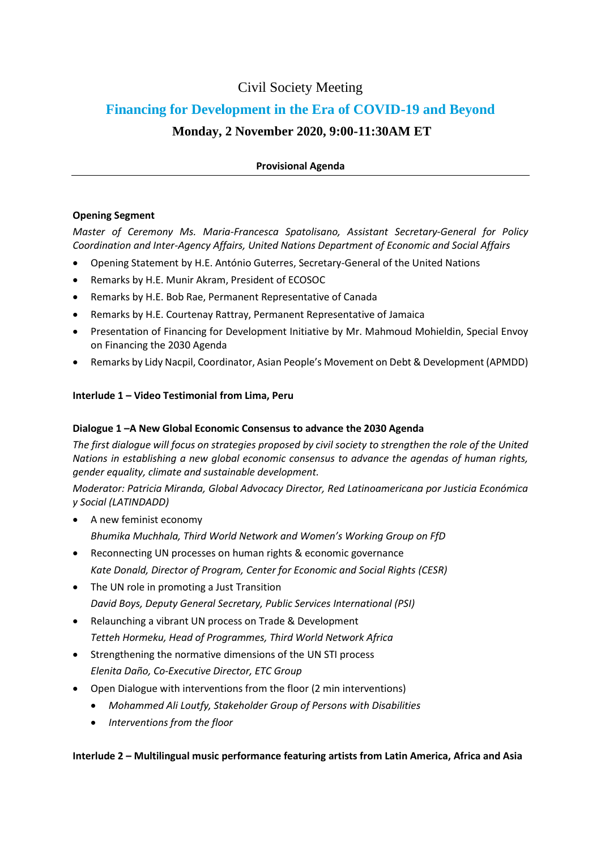# Civil Society Meeting

# **Financing for Development in the Era of COVID-19 and Beyond**

## **Monday, 2 November 2020, 9:00-11:30AM ET**

#### **Provisional Agenda**

#### **Opening Segment**

*Master of Ceremony Ms. Maria-Francesca Spatolisano, Assistant Secretary-General for Policy Coordination and Inter-Agency Affairs, United Nations Department of Economic and Social Affairs*

- Opening Statement by H.E. António Guterres, Secretary-General of the United Nations
- Remarks by H.E. Munir Akram, President of ECOSOC
- Remarks by H.E. Bob Rae, Permanent Representative of Canada
- Remarks by H.E. Courtenay Rattray, Permanent Representative of Jamaica
- Presentation of Financing for Development Initiative by Mr. Mahmoud Mohieldin, Special Envoy on Financing the 2030 Agenda
- Remarks by Lidy Nacpil, Coordinator, Asian People's Movement on Debt & Development (APMDD)

#### **Interlude 1 – Video Testimonial from Lima, Peru**

#### **Dialogue 1 –A New Global Economic Consensus to advance the 2030 Agenda**

*The first dialogue will focus on strategies proposed by civil society to strengthen the role of the United Nations in establishing a new global economic consensus to advance the agendas of human rights, gender equality, climate and sustainable development.*

*Moderator: Patricia Miranda, Global Advocacy Director, Red Latinoamericana por Justicia Económica y Social (LATINDADD)*

- A new feminist economy *Bhumika Muchhala, Third World Network and Women's Working Group on FfD*
- Reconnecting UN processes on human rights & economic governance *Kate Donald, Director of Program, Center for Economic and Social Rights (CESR)*
- The UN role in promoting a Just Transition *David Boys, Deputy General Secretary, Public Services International (PSI)*
- Relaunching a vibrant UN process on Trade & Development *Tetteh Hormeku, Head of Programmes, Third World Network Africa*
- Strengthening the normative dimensions of the UN STI process *Elenita Daño, Co-Executive Director, ETC Group*
- Open Dialogue with interventions from the floor (2 min interventions)
	- *Mohammed Ali Loutfy, Stakeholder Group of Persons with Disabilities*
	- *Interventions from the floor*

**Interlude 2 – Multilingual music performance featuring artists from Latin America, Africa and Asia**